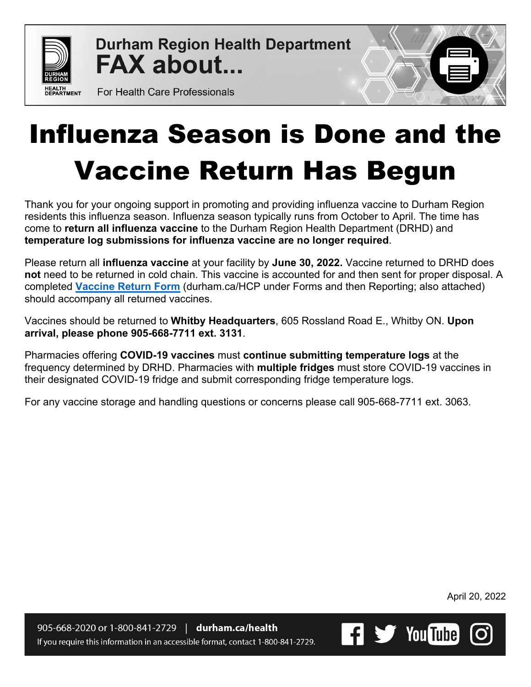

**Durham Region Health Department FAX about...** 

For Health Care Professionals

## Influenza Season is Done and the Vaccine Return Has Begun

Thank you for your ongoing support in promoting and providing influenza vaccine to Durham Region residents this influenza season. Influenza season typically runs from October to April. The time has come to **return all influenza vaccine** to the Durham Region Health Department (DRHD) and **temperature log submissions for influenza vaccine are no longer required**.

Please return all **influenza vaccine** at your facility by **June 30, 2022.** Vaccine returned to DRHD does **not** need to be returned in cold chain. This vaccine is accounted for and then sent for proper disposal. A completed **[Vaccine Return Form](https://www.durham.ca/en/health-and-wellness/resources/Documents/ResourcesforHealthCareProviders/VaccineReturnForm.pdf)** (durham.ca/HCP under Forms and then Reporting; also attached) should accompany all returned vaccines.

Vaccines should be returned to **Whitby Headquarters**, 605 Rossland Road E., Whitby ON. **Upon arrival, please phone 905-668-7711 ext. 3131**.

Pharmacies offering **COVID-19 vaccines** must **continue submitting temperature logs** at the frequency determined by DRHD. Pharmacies with **multiple fridges** must store COVID-19 vaccines in their designated COVID-19 fridge and submit corresponding fridge temperature logs.

For any vaccine storage and handling questions or concerns please call 905-668-7711 ext. 3063.

April 20, 2022